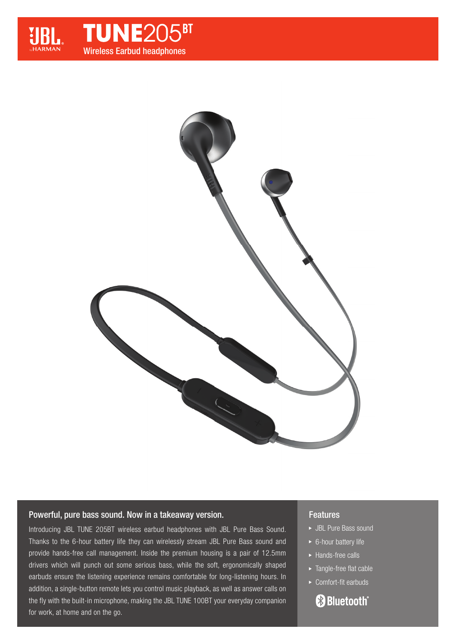



# Powerful, pure bass sound. Now in a takeaway version.

Introducing JBL TUNE 205BT wireless earbud headphones with JBL Pure Bass Sound. Thanks to the 6-hour battery life they can wirelessly stream JBL Pure Bass sound and provide hands-free call management. Inside the premium housing is a pair of 12.5mm drivers which will punch out some serious bass, while the soft, ergonomically shaped earbuds ensure the listening experience remains comfortable for long-listening hours. In addition, a single-button remote lets you control music playback, as well as answer calls on the fly with the built-in microphone, making the JBL TUNE 100BT your everyday companion for work, at home and on the go.

# Features

- JBL Pure Bass sound
- ► 6-hour battery life
- ▶ Hands-free calls
- $\blacktriangleright$  Tangle-free flat cable
- $\triangleright$  Comfort-fit earbuds

# **Bluetooth**®